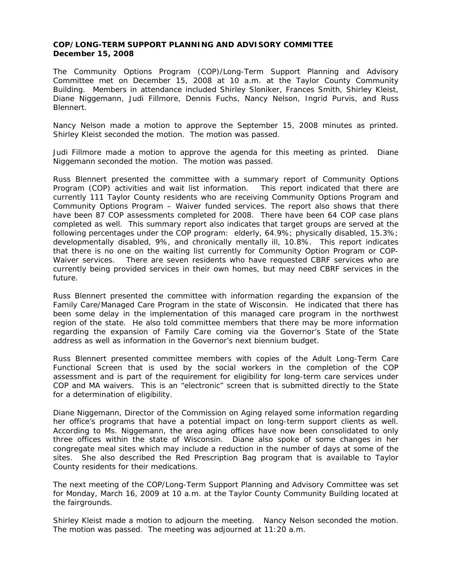## **COP/LONG-TERM SUPPORT PLANNING AND ADVISORY COMMITTEE December 15, 2008**

The Community Options Program (COP)/Long-Term Support Planning and Advisory Committee met on December 15, 2008 at 10 a.m. at the Taylor County Community Building. Members in attendance included Shirley Sloniker, Frances Smith, Shirley Kleist, Diane Niggemann, Judi Fillmore, Dennis Fuchs, Nancy Nelson, Ingrid Purvis, and Russ Blennert.

Nancy Nelson made a motion to approve the September 15, 2008 minutes as printed. Shirley Kleist seconded the motion. The motion was passed.

Judi Fillmore made a motion to approve the agenda for this meeting as printed. Diane Niggemann seconded the motion. The motion was passed.

Russ Blennert presented the committee with a summary report of Community Options Program (COP) activities and wait list information. This report indicated that there are currently 111 Taylor County residents who are receiving Community Options Program and Community Options Program – Waiver funded services. The report also shows that there have been 87 COP assessments completed for 2008. There have been 64 COP case plans completed as well. This summary report also indicates that target groups are served at the following percentages under the COP program: elderly, 64.9%; physically disabled, 15.3%; developmentally disabled, 9%, and chronically mentally ill, 10.8%. This report indicates that there is no one on the waiting list currently for Community Option Program or COP-Waiver services. There are seven residents who have requested CBRF services who are currently being provided services in their own homes, but may need CBRF services in the future.

Russ Blennert presented the committee with information regarding the expansion of the Family Care/Managed Care Program in the state of Wisconsin. He indicated that there has been some delay in the implementation of this managed care program in the northwest region of the state. He also told committee members that there may be more information regarding the expansion of Family Care coming via the Governor's State of the State address as well as information in the Governor's next biennium budget.

Russ Blennert presented committee members with copies of the Adult Long-Term Care Functional Screen that is used by the social workers in the completion of the COP assessment and is part of the requirement for eligibility for long-term care services under COP and MA waivers. This is an "electronic" screen that is submitted directly to the State for a determination of eligibility.

Diane Niggemann, Director of the Commission on Aging relayed some information regarding her office's programs that have a potential impact on long-term support clients as well. According to Ms. Niggemann, the area aging offices have now been consolidated to only three offices within the state of Wisconsin. Diane also spoke of some changes in her congregate meal sites which may include a reduction in the number of days at some of the sites. She also described the Red Prescription Bag program that is available to Taylor County residents for their medications.

The next meeting of the COP/Long-Term Support Planning and Advisory Committee was set for Monday, March 16, 2009 at 10 a.m. at the Taylor County Community Building located at the fairgrounds.

Shirley Kleist made a motion to adjourn the meeting. Nancy Nelson seconded the motion. The motion was passed. The meeting was adjourned at 11:20 a.m.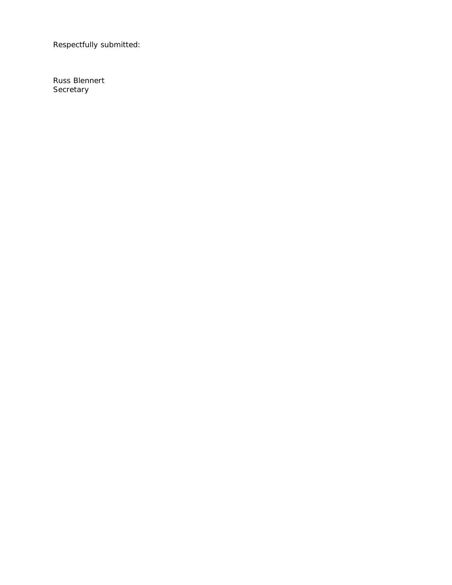Respectfully submitted: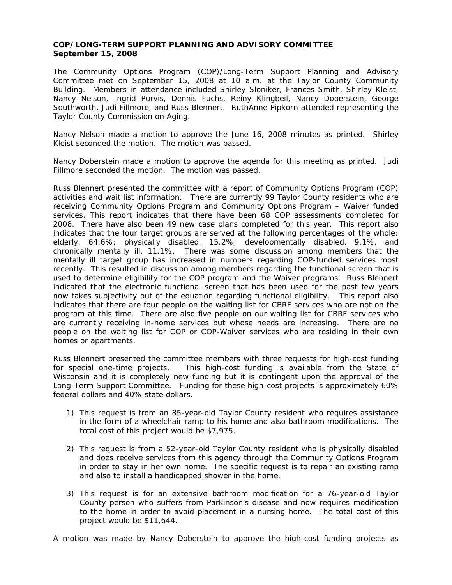## **COP/LONG-TERM SUPPORT PLANNING AND ADVISORY COMMITTEE September 15, 2008**

The Community Options Program (COP)/Long-Term Support Planning and Advisory Committee met on September 15, 2008 at 10 a.m. at the Taylor County Community Building. Members in attendance included Shirley Sloniker, Frances Smith, Shirley Kleist, Nancy Nelson, Ingrid Purvis, Dennis Fuchs, Reiny Klingbeil, Nancy Doberstein, George Southworth, Judi Fillmore, and Russ Blennert. RuthAnne Pipkorn attended representing the Taylor County Commission on Aging.

Nancy Nelson made a motion to approve the June 16, 2008 minutes as printed. Shirley Kleist seconded the motion. The motion was passed.

Nancy Doberstein made a motion to approve the agenda for this meeting as printed. Judi Fillmore seconded the motion. The motion was passed.

Russ Blennert presented the committee with a report of Community Options Program (COP) activities and wait list information. There are currently 99 Taylor County residents who are receiving Community Options Program and Community Options Program – Waiver funded services. This report indicates that there have been 68 COP assessments completed for 2008. There have also been 49 new case plans completed for this year. This report also indicates that the four target groups are served at the following percentages of the whole: elderly, 64.6%; physically disabled, 15.2%; developmentally disabled, 9.1%, and chronically mentally ill, 11.1%. There was some discussion among members that the mentally ill target group has increased in numbers regarding COP-funded services most recently. This resulted in discussion among members regarding the functional screen that is used to determine eligibility for the COP program and the Waiver programs. Russ Blennert indicated that the electronic functional screen that has been used for the past few years now takes subjectivity out of the equation regarding functional eligibility. This report also indicates that there are four people on the waiting list for CBRF services who are not on the program at this time. There are also five people on our waiting list for CBRF services who are currently receiving in-home services but whose needs are increasing. There are no people on the waiting list for COP or COP-Waiver services who are residing in their own homes or apartments.

Russ Blennert presented the committee members with three requests for high-cost funding for special one-time projects. This high-cost funding is available from the State of Wisconsin and it is completely new funding but it is contingent upon the approval of the Long-Term Support Committee. Funding for these high-cost projects is approximately 60% federal dollars and 40% state dollars.

- 1) This request is from an 85-year-old Taylor County resident who requires assistance in the form of a wheelchair ramp to his home and also bathroom modifications. The total cost of this project would be \$7,975.
- 2) This request is from a 52-year-old Taylor County resident who is physically disabled and does receive services from this agency through the Community Options Program in order to stay in her own home. The specific request is to repair an existing ramp and also to install a handicapped shower in the home.
- 3) This request is for an extensive bathroom modification for a 76-year-old Taylor County person who suffers from Parkinson's disease and now requires modification to the home in order to avoid placement in a nursing home. The total cost of this project would be \$11,644.

A motion was made by Nancy Doberstein to approve the high-cost funding projects as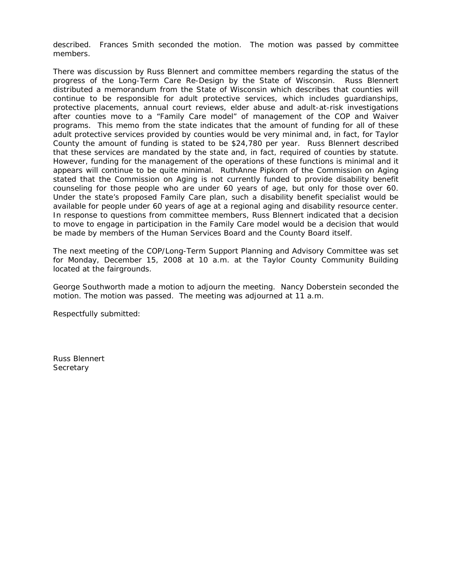described. Frances Smith seconded the motion. The motion was passed by committee members.

There was discussion by Russ Blennert and committee members regarding the status of the progress of the Long-Term Care Re-Design by the State of Wisconsin. Russ Blennert distributed a memorandum from the State of Wisconsin which describes that counties will continue to be responsible for adult protective services, which includes guardianships, protective placements, annual court reviews, elder abuse and adult-at-risk investigations after counties move to a "Family Care model" of management of the COP and Waiver programs. This memo from the state indicates that the amount of funding for all of these adult protective services provided by counties would be very minimal and, in fact, for Taylor County the amount of funding is stated to be \$24,780 per year. Russ Blennert described that these services are mandated by the state and, in fact, required of counties by statute. However, funding for the management of the operations of these functions is minimal and it appears will continue to be quite minimal. RuthAnne Pipkorn of the Commission on Aging stated that the Commission on Aging is not currently funded to provide disability benefit counseling for those people who are under 60 years of age, but only for those over 60. Under the state's proposed Family Care plan, such a disability benefit specialist would be available for people under 60 years of age at a regional aging and disability resource center. In response to questions from committee members, Russ Blennert indicated that a decision to move to engage in participation in the Family Care model would be a decision that would be made by members of the Human Services Board and the County Board itself.

The next meeting of the COP/Long-Term Support Planning and Advisory Committee was set for Monday, December 15, 2008 at 10 a.m. at the Taylor County Community Building located at the fairgrounds.

George Southworth made a motion to adjourn the meeting. Nancy Doberstein seconded the motion. The motion was passed. The meeting was adjourned at 11 a.m.

Respectfully submitted: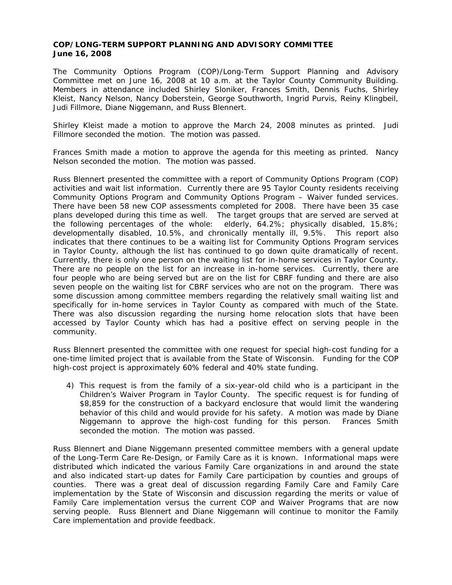## **COP/LONG-TERM SUPPORT PLANNING AND ADVISORY COMMITTEE June 16, 2008**

The Community Options Program (COP)/Long-Term Support Planning and Advisory Committee met on June 16, 2008 at 10 a.m. at the Taylor County Community Building. Members in attendance included Shirley Sloniker, Frances Smith, Dennis Fuchs, Shirley Kleist, Nancy Nelson, Nancy Doberstein, George Southworth, Ingrid Purvis, Reiny Klingbeil, Judi Fillmore, Diane Niggemann, and Russ Blennert.

Shirley Kleist made a motion to approve the March 24, 2008 minutes as printed. Judi Fillmore seconded the motion. The motion was passed.

Frances Smith made a motion to approve the agenda for this meeting as printed. Nancy Nelson seconded the motion. The motion was passed.

Russ Blennert presented the committee with a report of Community Options Program (COP) activities and wait list information. Currently there are 95 Taylor County residents receiving Community Options Program and Community Options Program – Waiver funded services. There have been 58 new COP assessments completed for 2008. There have been 35 case plans developed during this time as well. The target groups that are served are served at the following percentages of the whole: elderly, 64.2%; physically disabled, 15.8%; developmentally disabled, 10.5%, and chronically mentally ill, 9.5%. This report also indicates that there continues to be a waiting list for Community Options Program services in Taylor County, although the list has continued to go down quite dramatically of recent. Currently, there is only one person on the waiting list for in-home services in Taylor County. There are no people on the list for an increase in in-home services. Currently, there are four people who are being served but are on the list for CBRF funding and there are also seven people on the waiting list for CBRF services who are not on the program. There was some discussion among committee members regarding the relatively small waiting list and specifically for in-home services in Taylor County as compared with much of the State. There was also discussion regarding the nursing home relocation slots that have been accessed by Taylor County which has had a positive effect on serving people in the community.

Russ Blennert presented the committee with one request for special high-cost funding for a one-time limited project that is available from the State of Wisconsin. Funding for the COP high-cost project is approximately 60% federal and 40% state funding.

4) This request is from the family of a six-year-old child who is a participant in the Children's Waiver Program in Taylor County. The specific request is for funding of \$8,859 for the construction of a backyard enclosure that would limit the wandering behavior of this child and would provide for his safety. A motion was made by Diane Niggemann to approve the high-cost funding for this person. Frances Smith seconded the motion. The motion was passed.

Russ Blennert and Diane Niggemann presented committee members with a general update of the Long-Term Care Re-Design, or Family Care as it is known. Informational maps were distributed which indicated the various Family Care organizations in and around the state and also indicated start-up dates for Family Care participation by counties and groups of counties. There was a great deal of discussion regarding Family Care and Family Care implementation by the State of Wisconsin and discussion regarding the merits or value of Family Care implementation versus the current COP and Waiver Programs that are now serving people. Russ Blennert and Diane Niggemann will continue to monitor the Family Care implementation and provide feedback.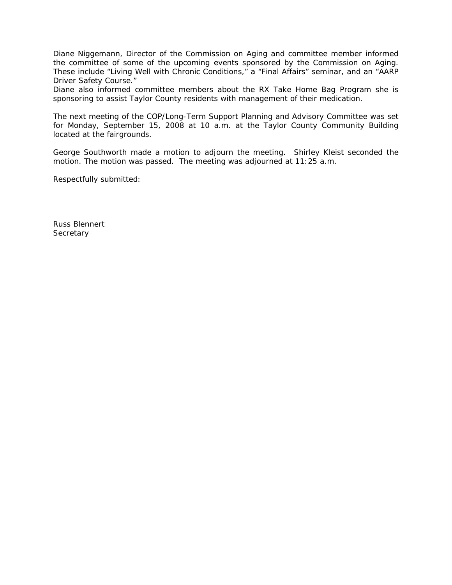Diane Niggemann, Director of the Commission on Aging and committee member informed the committee of some of the upcoming events sponsored by the Commission on Aging. These include "Living Well with Chronic Conditions," a "Final Affairs" seminar, and an "AARP Driver Safety Course."

Diane also informed committee members about the RX Take Home Bag Program she is sponsoring to assist Taylor County residents with management of their medication.

The next meeting of the COP/Long-Term Support Planning and Advisory Committee was set for Monday, September 15, 2008 at 10 a.m. at the Taylor County Community Building located at the fairgrounds.

George Southworth made a motion to adjourn the meeting. Shirley Kleist seconded the motion. The motion was passed. The meeting was adjourned at 11:25 a.m.

Respectfully submitted: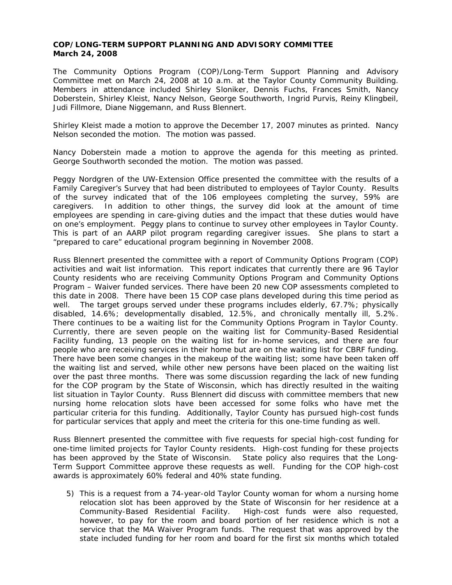## **COP/LONG-TERM SUPPORT PLANNING AND ADVISORY COMMITTEE March 24, 2008**

The Community Options Program (COP)/Long-Term Support Planning and Advisory Committee met on March 24, 2008 at 10 a.m. at the Taylor County Community Building. Members in attendance included Shirley Sloniker, Dennis Fuchs, Frances Smith, Nancy Doberstein, Shirley Kleist, Nancy Nelson, George Southworth, Ingrid Purvis, Reiny Klingbeil, Judi Fillmore, Diane Niggemann, and Russ Blennert.

Shirley Kleist made a motion to approve the December 17, 2007 minutes as printed. Nancy Nelson seconded the motion. The motion was passed.

Nancy Doberstein made a motion to approve the agenda for this meeting as printed. George Southworth seconded the motion. The motion was passed.

Peggy Nordgren of the UW-Extension Office presented the committee with the results of a Family Caregiver's Survey that had been distributed to employees of Taylor County. Results of the survey indicated that of the 106 employees completing the survey, 59% are caregivers. In addition to other things, the survey did look at the amount of time employees are spending in care-giving duties and the impact that these duties would have on one's employment. Peggy plans to continue to survey other employees in Taylor County. This is part of an AARP pilot program regarding caregiver issues. She plans to start a "prepared to care" educational program beginning in November 2008.

Russ Blennert presented the committee with a report of Community Options Program (COP) activities and wait list information. This report indicates that currently there are 96 Taylor County residents who are receiving Community Options Program and Community Options Program – Waiver funded services. There have been 20 new COP assessments completed to this date in 2008. There have been 15 COP case plans developed during this time period as well. The target groups served under these programs includes elderly, 67.7%; physically disabled, 14.6%; developmentally disabled, 12.5%, and chronically mentally ill, 5.2%. There continues to be a waiting list for the Community Options Program in Taylor County. Currently, there are seven people on the waiting list for Community-Based Residential Facility funding, 13 people on the waiting list for in-home services, and there are four people who are receiving services in their home but are on the waiting list for CBRF funding. There have been some changes in the makeup of the waiting list; some have been taken off the waiting list and served, while other new persons have been placed on the waiting list over the past three months. There was some discussion regarding the lack of new funding for the COP program by the State of Wisconsin, which has directly resulted in the waiting list situation in Taylor County. Russ Blennert did discuss with committee members that new nursing home relocation slots have been accessed for some folks who have met the particular criteria for this funding. Additionally, Taylor County has pursued high-cost funds for particular services that apply and meet the criteria for this one-time funding as well.

Russ Blennert presented the committee with five requests for special high-cost funding for one-time limited projects for Taylor County residents. High-cost funding for these projects has been approved by the State of Wisconsin. State policy also requires that the Long-Term Support Committee approve these requests as well. Funding for the COP high-cost awards is approximately 60% federal and 40% state funding.

5) This is a request from a 74-year-old Taylor County woman for whom a nursing home relocation slot has been approved by the State of Wisconsin for her residence at a Community-Based Residential Facility. High-cost funds were also requested, however, to pay for the room and board portion of her residence which is not a service that the MA Waiver Program funds. The request that was approved by the state included funding for her room and board for the first six months which totaled